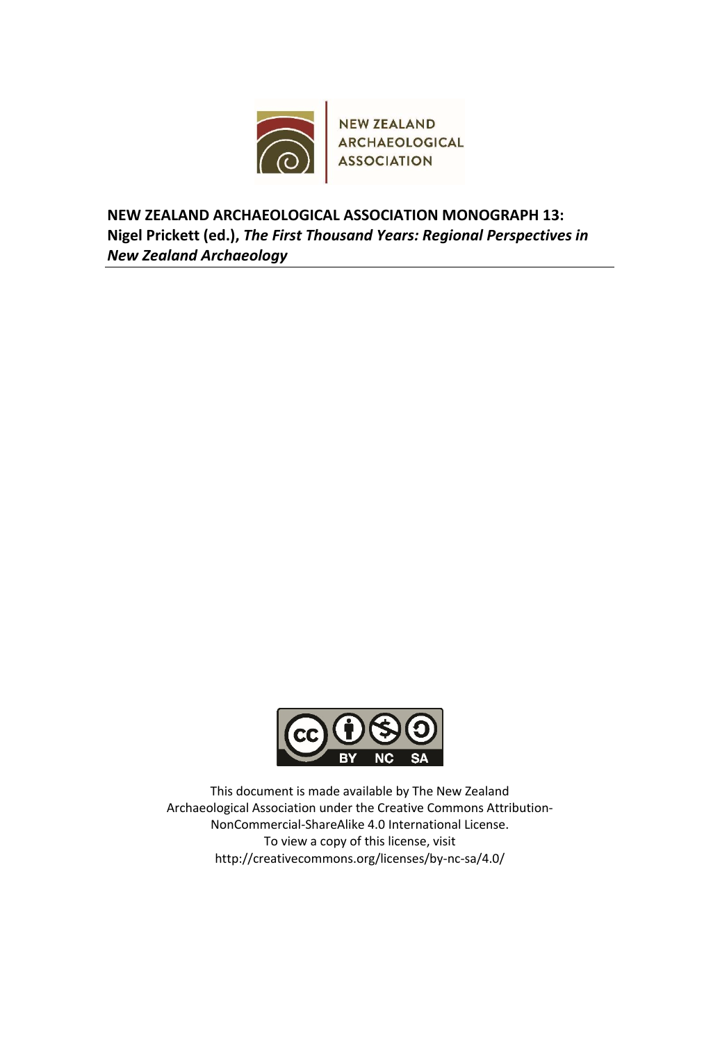

**NEW ZEALAND ARCHAEOLOGICAL ASSOCIATION MONOGRAPH 13: Nigel Prickett (ed.),** *The First Thousand Years: Regional Perspectives in New Zealand Archaeology* 



This document is made available by The New Zealand Archaeological Association under the Creative Commons Attribution‐ NonCommercial‐ShareAlike 4.0 International License. To view a copy of this license, visit http://creativecommons.org/licenses/by‐nc‐sa/4.0/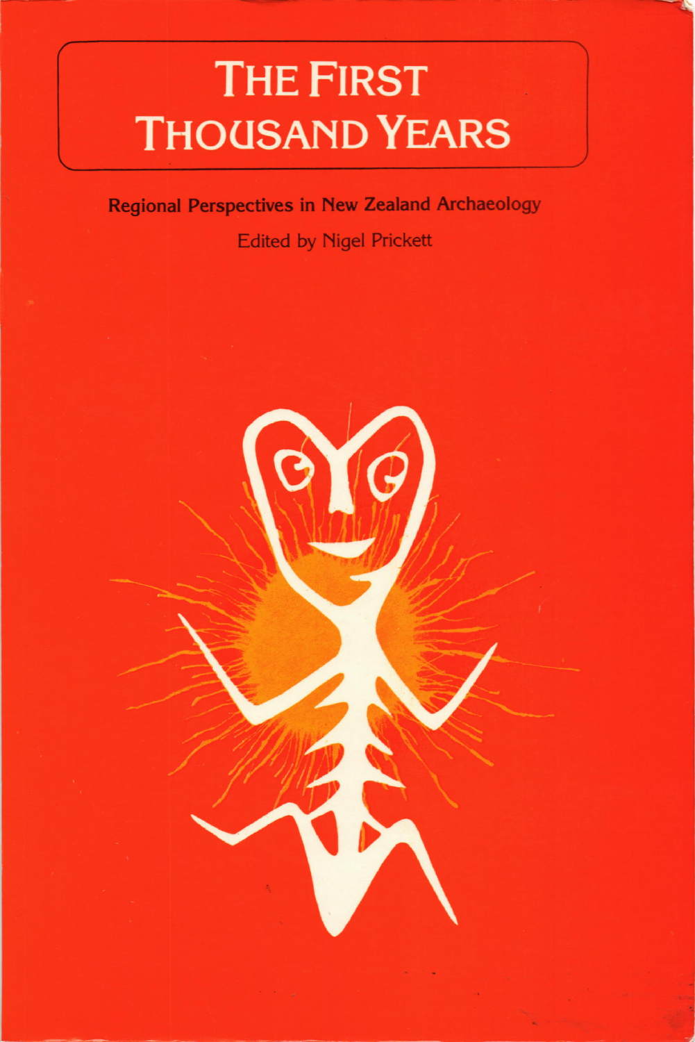## THE FIRST **THOUSAND YEARS**

Regional Perspectives in New Zealand Archaeology

Edited by Nigel Prickett

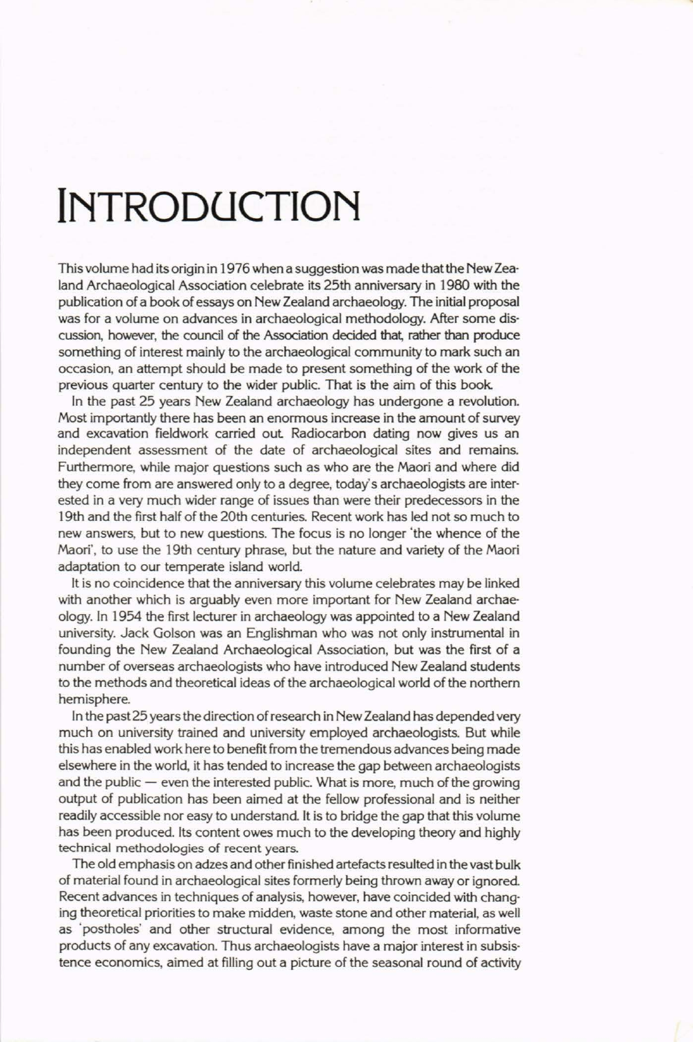## **INTRODUCTION**

This volume had its origin in 1976 when a suggestion was made that the New Zea· land Archaeological Association celebrate its 25th anniversary in 1980 with the publication of a book of essays on New Zealand archaeology. The initial proposal was for a volume on advances in archaeological methodology. After some discussion, however, the council of the Association decided that, rather than produce something of interest mainly to the archaeological community to mark such an occasion, an attempt should be made to present something of the work of the previous quarter century to the wider public. That is the aim of this book

In the past 25 years New Zealand archaeology has undergone a revolution. Most importantly there has been an enormous increase in the amount of survey and excavation fieldwork carried out Radiocarbon dating now gives us an independent assessment of the date of archaeological sites and remains. Furthermore, while major questions such as who are the Maori and where did they come from are answered only to a degree, today's archaeologists are inter· ested in a very much wider range of issues than were their predecessors in the 19th and the first half of the 20th centuries. Recent work has led not so much to new answers, but to new questions. The focus is no longer 'the whence of the Maori', to use the 19th century phrase, but the nature and variety of the Maori adaptation to our temperate island world.

It is no coincidence that the anniversary this volume celebrates may be linked with another which is arguably even more important for New Zealand archaeology. In 1954 the first lecturer in archaeology was appointed to a New Zealand university. Jack Golson was an Englishman who was not only instrumental in founding the New Zealand Archaeological Association, but was the first of a number of overseas archaeologists who have introduced New Zealand students to the methods and theoretical ideas of the archaeological world of the northern hemisphere.

In the past 25 years the direction of research in New Zealand has depended very much on university trained and university employed archaeologists. But while this has enabled work here to benefit from the tremendous advances being made elsewhere in the world, it has tended to increase the gap between archaeologists and the public  $-$  even the interested public. What is more, much of the growing output of publication has been aimed at the fellow professional and is neither readily accessible nor easy to understand. It is to bridge the gap that this volume has been produced. Its content owes much to the developing theory and highly technical methodologies of recent years.

The old emphasis on adzes and other finished artefacts resulted in the vast bulk of material found in archaeological sites formerly being thrown away or ignored Recent advances in techniques of analysis, however, have coincided with chang· ing theoretical priorities to make midden, waste stone and other material, as well as 'postholes' and other structural evidence, among the most informative products of any excavation. Thus archaeologists have a major interest in subsis· tence economics, aimed at filling out a picture of the seasonal round of activity